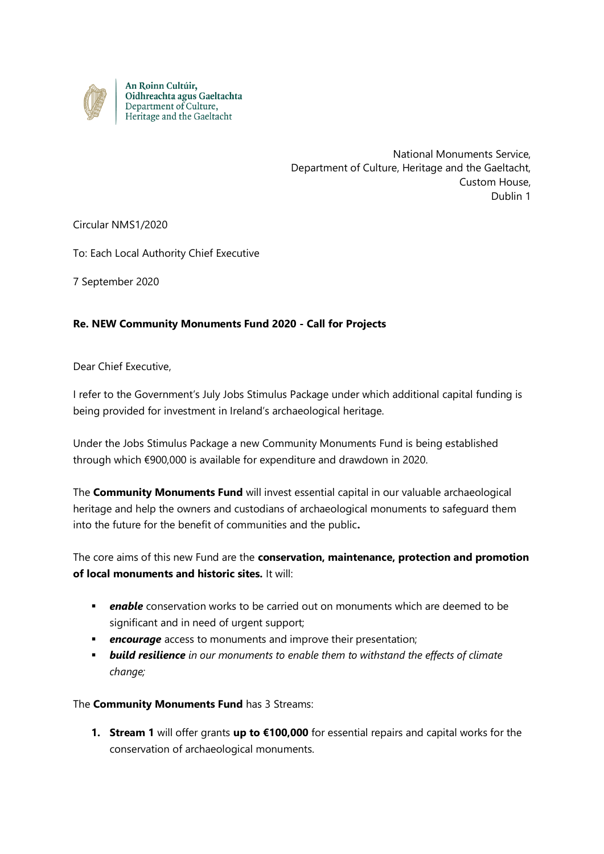

An Roinn Cultúir,<br>Oidhreachta agus Gaeltachta Department of Culture, Heritage and the Gaeltacht

> National Monuments Service, Department of Culture, Heritage and the Gaeltacht, Custom House, Dublin 1

Circular NMS1/2020

To: Each Local Authority Chief Executive

7 September 2020

## **Re. NEW Community Monuments Fund 2020 - Call for Projects**

Dear Chief Executive,

I refer to the Government's July Jobs Stimulus Package under which additional capital funding is being provided for investment in Ireland's archaeological heritage.

Under the Jobs Stimulus Package a new Community Monuments Fund is being established through which €900,000 is available for expenditure and drawdown in 2020.

The **Community Monuments Fund** will invest essential capital in our valuable archaeological heritage and help the owners and custodians of archaeological monuments to safeguard them into the future for the benefit of communities and the public**.**

The core aims of this new Fund are the **conservation, maintenance, protection and promotion of local monuments and historic sites.** It will:

- *enable* conservation works to be carried out on monuments which are deemed to be significant and in need of urgent support;
- **encourage** access to monuments and improve their presentation;
- *build resilience in our monuments to enable them to withstand the effects of climate change;*

The **Community Monuments Fund** has 3 Streams:

**1. Stream 1** will offer grants **up to €100,000** for essential repairs and capital works for the conservation of archaeological monuments.